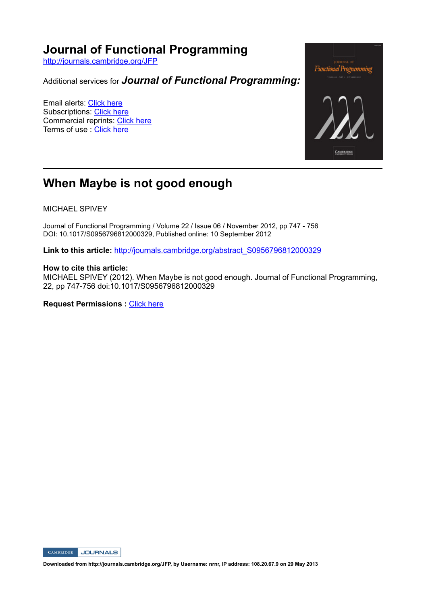# **Journal of Functional Programming**

http://journals.cambridge.org/JFP

Additional services for *Journal of Functional Programming:*

Email alerts: Click here Subscriptions: Click here Commercial reprints: Click here Terms of use : Click here



# **When Maybe is not good enough**

MICHAEL SPIVEY

Journal of Functional Programming / Volume 22 / Issue 06 / November 2012, pp 747 756 DOI: 10.1017/S0956796812000329, Published online: 10 September 2012

Link to this article: http://journals.cambridge.org/abstract\_S0956796812000329

## **How to cite this article:**

MICHAEL SPIVEY (2012). When Maybe is not good enough. Journal of Functional Programming, 22, pp 747-756 doi:10.1017/S0956796812000329

**Request Permissions :** Click here



**Downloaded from http://journals.cambridge.org/JFP, by Username: nrnr, IP address: 108.20.67.9 on 29 May 2013**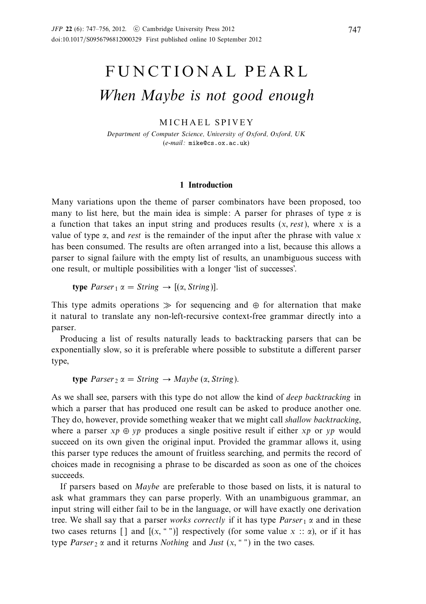# FUNCTIONAL PEARL When Maybe is not good enough

# MICHAEL SPIVEY

Department of Computer Science, University of Oxford, Oxford, UK (e-mail: mike@cs.ox.ac.uk)

## **1 Introduction**

Many variations upon the theme of parser combinators have been proposed, too many to list here, but the main idea is simple: A parser for phrases of type  $\alpha$  is a function that takes an input string and produces results (*x,* rest), where *x* is a value of type  $\alpha$ , and rest is the remainder of the input after the phrase with value  $x$ has been consumed. The results are often arranged into a list, because this allows a parser to signal failure with the empty list of results, an unambiguous success with one result, or multiple possibilities with a longer 'list of successes'.

**type**  $Parser_1 \alpha = String \rightarrow [(\alpha, String)].$ 

This type admits operations  $\gg$  for sequencing and ⊕ for alternation that make it natural to translate any non-left-recursive context-free grammar directly into a parser.

Producing a list of results naturally leads to backtracking parsers that can be exponentially slow, so it is preferable where possible to substitute a different parser type,

**type**  $Parser_2 \alpha = String \rightarrow Maybe (\alpha, String)$ .

As we shall see, parsers with this type do not allow the kind of deep backtracking in which a parser that has produced one result can be asked to produce another one. They do, however, provide something weaker that we might call shallow backtracking, where a parser  $xp \oplus vp$  produces a single positive result if either xp or yp would succeed on its own given the original input. Provided the grammar allows it, using this parser type reduces the amount of fruitless searching, and permits the record of choices made in recognising a phrase to be discarded as soon as one of the choices succeeds.

If parsers based on Maybe are preferable to those based on lists, it is natural to ask what grammars they can parse properly. With an unambiguous grammar, an input string will either fail to be in the language, or will have exactly one derivation tree. We shall say that a parser works correctly if it has type *Parser* 1 *α* and in these two cases returns [] and  $[(x, "')]$  respectively (for some value  $x :: \alpha$ ), or if it has type *Parser*  $2 \alpha$  and it returns *Nothing* and *Just*  $(x, "")$  in the two cases.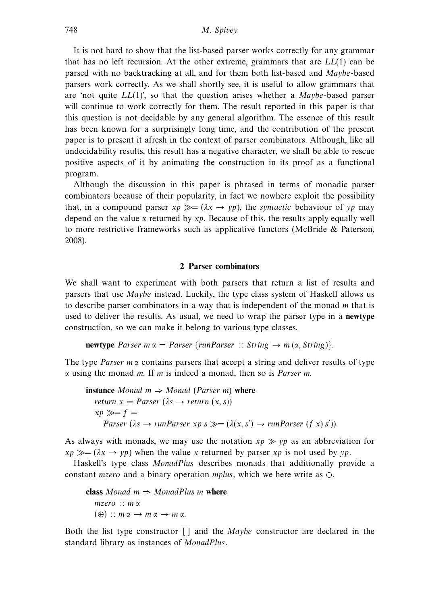It is not hard to show that the list-based parser works correctly for any grammar that has no left recursion. At the other extreme, grammars that are  $LL(1)$  can be parsed with no backtracking at all, and for them both list-based and Maybe-based parsers work correctly. As we shall shortly see, it is useful to allow grammars that are 'not quite  $LL(1)$ ', so that the question arises whether a *Maybe*-based parser will continue to work correctly for them. The result reported in this paper is that this question is not decidable by any general algorithm. The essence of this result has been known for a surprisingly long time, and the contribution of the present paper is to present it afresh in the context of parser combinators. Although, like all undecidability results, this result has a negative character, we shall be able to rescue positive aspects of it by animating the construction in its proof as a functional program.

Although the discussion in this paper is phrased in terms of monadic parser combinators because of their popularity, in fact we nowhere exploit the possibility that, in a compound parser  $xp \gg = (\lambda x \rightarrow yp)$ , the *syntactic* behaviour of yp may depend on the value *x* returned by xp. Because of this, the results apply equally well to more restrictive frameworks such as applicative functors (McBride & Paterson, 2008).

#### **2 Parser combinators**

We shall want to experiment with both parsers that return a list of results and parsers that use Maybe instead. Luckily, the type class system of Haskell allows us to describe parser combinators in a way that is independent of the monad *m* that is used to deliver the results. As usual, we need to wrap the parser type in a **newtype** construction, so we can make it belong to various type classes.

**newtype** Parser  $m \alpha =$  Parser {runParser :: String  $\rightarrow$   $m (\alpha,$  String}}.

The type *Parser m*  $\alpha$  contains parsers that accept a string and deliver results of type *α* using the monad *m*. If *m* is indeed a monad, then so is Parser *m*.

```
instance Monad m \Rightarrow Monad (Parser m) where
   return x = \text{Parser } (\lambda s \rightarrow \text{return } (x, s))xp \gg f =Parser (\lambda s \rightarrow runParser \; xp \; s \gg = (\lambda(x, s') \rightarrow runParser \; (f \; x) \; s')).
```
As always with monads, we may use the notation  $xp \gg vp$  as an abbreviation for  $xp \gg = (\lambda x \rightarrow yp)$  when the value *x* returned by parser *xp* is not used by *yp*.

Haskell's type class MonadPlus describes monads that additionally provide a constant mzero and a binary operation mplus, which we here write as ⊕.

**class** Monad  $m \Rightarrow$  MonadPlus *m* where mzero :: *m α*  $(\oplus)$  ::  $m \alpha \rightarrow m \alpha \rightarrow m \alpha$ .

Both the list type constructor [ ] and the *Maybe* constructor are declared in the standard library as instances of MonadPlus.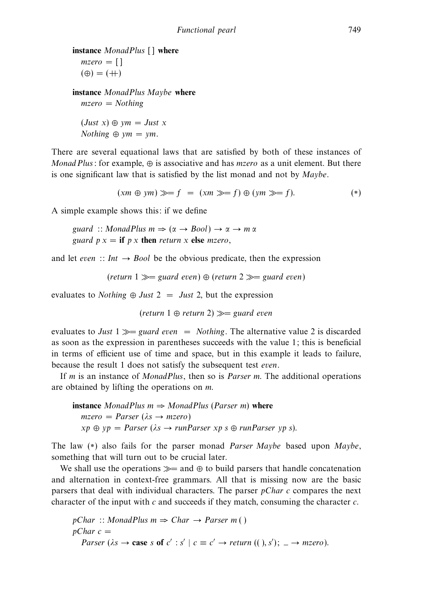```
instance MonadPlus [ ] where
  mzero = [(\oplus) = (+)
```
**instance** MonadPlus Maybe **where**  $mzero = Nothing$ 

 $(Just x) \oplus ym = Just x$  $Nothing \oplus ym = ym$ .

There are several equational laws that are satisfied by both of these instances of Monad Plus: for example,  $\oplus$  is associative and has *mzero* as a unit element. But there is one significant law that is satisfied by the list monad and not by Maybe.

$$
(xm \oplus ym) \gg f = (xm \gg f) \oplus (ym \gg f). \tag{*}
$$

A simple example shows this: if we define

guard :: MonadPlus  $m \Rightarrow (\alpha \rightarrow \text{Bool}) \rightarrow \alpha \rightarrow m \alpha$ guard  $p x = \textbf{if } p x \textbf{ then}$  *return*  $x \textbf{ else } m \text{ zero}$ ,

and let even :: Int  $\rightarrow$  Bool be the obvious predicate, then the expression

(return 1  $\gg$  guard even)  $\oplus$  (return 2  $\gg$  guard even)

evaluates to *Nothing*  $\oplus$  *Just* 2 = *Just* 2, but the expression

 $(\text{return } 1 \oplus \text{return } 2) \gg = \text{guard even}$ 

evaluates to Just 1  $\gg$  guard even = Nothing. The alternative value 2 is discarded as soon as the expression in parentheses succeeds with the value 1; this is beneficial in terms of efficient use of time and space, but in this example it leads to failure, because the result 1 does not satisfy the subsequent test even.

If *m* is an instance of MonadPlus, then so is Parser *m*. The additional operations are obtained by lifting the operations on *m*.

**instance** MonadPlus  $m \Rightarrow \text{MonadPlus}$  (Parser *m*) where  $mzero = Parse<sub>r</sub> (\lambda s \rightarrow mzero)$  $xp \oplus yp = Parseer (\lambda s \rightarrow runParser \ x \infty s \oplus runParser \ y \in s).$ 

The law (\*) also fails for the parser monad *Parser Maybe* based upon *Maybe*, something that will turn out to be crucial later.

We shall use the operations  $\gg$  and  $\oplus$  to build parsers that handle concatenation and alternation in context-free grammars. All that is missing now are the basic parsers that deal with individual characters. The parser pChar *c* compares the next character of the input with *c* and succeeds if they match, consuming the character *c*.

pChar :: MonadPlus 
$$
m \Rightarrow Char \rightarrow Parser \, m
$$
)  
pChar  $c =$   
Parser ( $\lambda s \rightarrow \text{case } s \text{ of } c' : s' \mid c \equiv c' \rightarrow return ((), s'); \_ \rightarrow mzero).$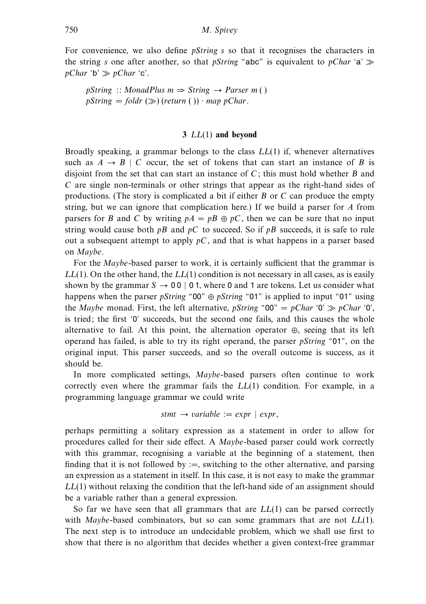For convenience, we also define pString *s* so that it recognises the characters in the string *s* one after another, so that *pString* "abc" is equivalent to *pChar* 'a'  $pChar$  'b'  $\gg pChar$  'c'.

 $pString :: MonadPlus \, m \Rightarrow String \rightarrow Parser \, m()$  $pString = folder \gg (return ( )) \cdot map pChar.$ 

#### **3** *LL*(1) **and beyond**

Broadly speaking, a grammar belongs to the class *LL*(1) if, whenever alternatives such as  $A \rightarrow B \mid C$  occur, the set of tokens that can start an instance of *B* is disjoint from the set that can start an instance of *C*; this must hold whether *B* and *C* are single non-terminals or other strings that appear as the right-hand sides of productions. (The story is complicated a bit if either *B* or *C* can produce the empty string, but we can ignore that complication here.) If we build a parser for *A* from parsers for *B* and *C* by writing  $pA = pB \oplus pC$ , then we can be sure that no input string would cause both  $pB$  and  $pC$  to succeed. So if  $pB$  succeeds, it is safe to rule out a subsequent attempt to apply  $pC$ , and that is what happens in a parser based on Maybe.

For the *Maybe*-based parser to work, it is certainly sufficient that the grammar is *LL*(1). On the other hand, the *LL*(1) condition is not necessary in all cases, as is easily shown by the grammar  $S \rightarrow 00 \mid 0.1$ , where 0 and 1 are tokens. Let us consider what happens when the parser pString "00" ⊕ pString "01" is applied to input "01" using the Maybe monad. First, the left alternative, pString "00" = pChar '0'  $\gg pChar$  '0'. is tried; the first '0' succeeds, but the second one fails, and this causes the whole alternative to fail. At this point, the alternation operator  $\oplus$ , seeing that its left operand has failed, is able to try its right operand, the parser pString "01", on the original input. This parser succeeds, and so the overall outcome is success, as it should be.

In more complicated settings, Maybe-based parsers often continue to work correctly even where the grammar fails the *LL*(1) condition. For example, in a programming language grammar we could write

$$
stmt \rightarrow variable := expr \mid expr,
$$

perhaps permitting a solitary expression as a statement in order to allow for procedures called for their side effect. A Maybe-based parser could work correctly with this grammar, recognising a variable at the beginning of a statement, then finding that it is not followed by :=, switching to the other alternative, and parsing an expression as a statement in itself. In this case, it is not easy to make the grammar *LL*(1) without relaxing the condition that the left-hand side of an assignment should be a variable rather than a general expression.

So far we have seen that all grammars that are *LL*(1) can be parsed correctly with Maybe-based combinators, but so can some grammars that are not *LL*(1). The next step is to introduce an undecidable problem, which we shall use first to show that there is no algorithm that decides whether a given context-free grammar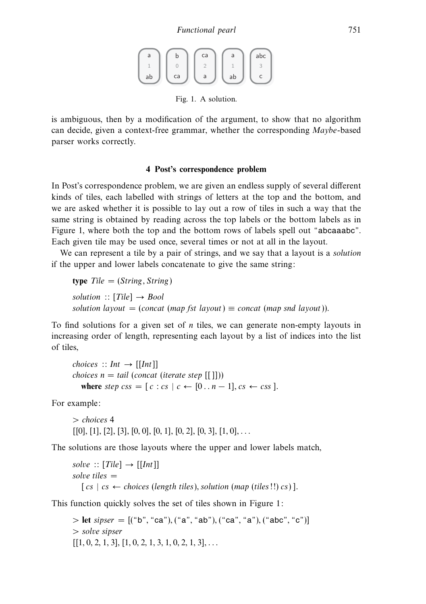a ab 1 b ca 0 ca a 2 a ab 1 abc c 3

Fig. 1. A solution.

is ambiguous, then by a modification of the argument, to show that no algorithm can decide, given a context-free grammar, whether the corresponding Maybe-based parser works correctly.

## **4 Post's correspondence problem**

In Post's correspondence problem, we are given an endless supply of several different kinds of tiles, each labelled with strings of letters at the top and the bottom, and we are asked whether it is possible to lay out a row of tiles in such a way that the same string is obtained by reading across the top labels or the bottom labels as in Figure 1, where both the top and the bottom rows of labels spell out "abcaaabc". Each given tile may be used once, several times or not at all in the layout.

We can represent a tile by a pair of strings, and we say that a layout is a solution if the upper and lower labels concatenate to give the same string:

**type**  $Tile = (String, String)$ solution  $::$  [Tile]  $\rightarrow$  Bool solution layout  $=$  (concat (map fst layout)  $\equiv$  concat (map snd layout)).

To find solutions for a given set of *n* tiles, we can generate non-empty layouts in increasing order of length, representing each layout by a list of indices into the list of tiles,

choices :: Int  $\rightarrow$  [[Int]] *choices*  $n = tail$  (*concat* (*iterate step* [[]])) where step  $\text{css} = [c : cs | c \leftarrow [0..n-1], \text{cs} \leftarrow \text{css}].$ 

For example:

*>* choices 4 [[0]*,* [1]*,* [2]*,* [3]*,* [0*,* 0]*,* [0*,* 1]*,* [0*,* 2]*,* [0*,* 3]*,* [1*,* 0]*,...*

The solutions are those layouts where the upper and lower labels match,

```
solve :: [Tile] \rightarrow [[Int]]solve tiles =[cs \mid cs \leftarrow choices (length tiles), solution (map (tiles)! \cap cs)].
```
This function quickly solves the set of tiles shown in Figure 1:

*>* **let** sipser = [("b"*,* "ca")*,* ("a"*,* "ab")*,* ("ca"*,* "a")*,* ("abc"*,* "c")] *>* solve sipser [[1*,* 0*,* 2*,* 1*,* 3]*,* [1*,* 0*,* 2*,* 1*,* 3*,* 1*,* 0*,* 2*,* 1*,* 3]*,...*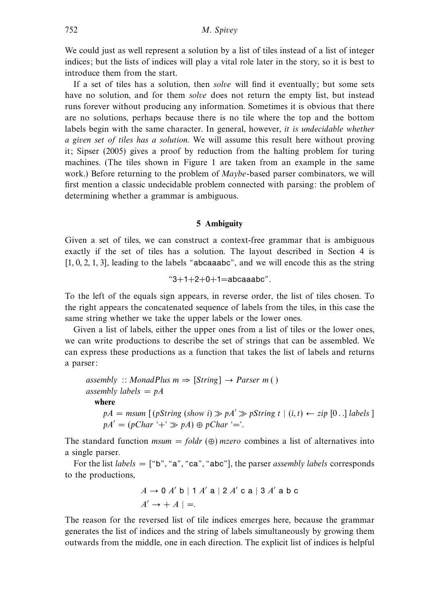We could just as well represent a solution by a list of tiles instead of a list of integer indices; but the lists of indices will play a vital role later in the story, so it is best to introduce them from the start.

If a set of tiles has a solution, then *solve* will find it eventually; but some sets have no solution, and for them *solve* does not return the empty list, but instead runs forever without producing any information. Sometimes it is obvious that there are no solutions, perhaps because there is no tile where the top and the bottom labels begin with the same character. In general, however, it is undecidable whether a given set of tiles has a solution. We will assume this result here without proving it; Sipser (2005) gives a proof by reduction from the halting problem for turing machines. (The tiles shown in Figure 1 are taken from an example in the same work.) Before returning to the problem of *Maybe*-based parser combinators, we will first mention a classic undecidable problem connected with parsing: the problem of determining whether a grammar is ambiguous.

#### **5 Ambiguity**

Given a set of tiles, we can construct a context-free grammar that is ambiguous exactly if the set of tiles has a solution. The layout described in Section 4 is [1*,* 0*,* 2*,* 1*,* 3], leading to the labels "abcaaabc", and we will encode this as the string

$$
"3+1+2+0+1 = abcaaabc".
$$

To the left of the equals sign appears, in reverse order, the list of tiles chosen. To the right appears the concatenated sequence of labels from the tiles, in this case the same string whether we take the upper labels or the lower ones.

Given a list of labels, either the upper ones from a list of tiles or the lower ones, we can write productions to describe the set of strings that can be assembled. We can express these productions as a function that takes the list of labels and returns a parser:

assembly :: MonadPlus 
$$
m \Rightarrow
$$
 [String] → Parser  $m()$ 

\nassembly labels = pA

\nwhere

\n $pA = msum [(pString (show i) ≫ pA' ≫ pString t | (i, t) ← zip [0..] labels ]$ 

\n $pA' = (pChar '+' ≫ pA) ⊕ pChar '='.$ 

The standard function  $msum = foldr$  ( $\oplus$ ) mzero combines a list of alternatives into a single parser.

For the list *labels* =  $[$ "b", "a", "ca", "abc"], the parser *assembly labels* corresponds to the productions,

$$
A \to 0
$$
 A' b | 1 A' a | 2 A' c a | 3 A' a b c  
A'  $\to + A$  | =.

The reason for the reversed list of tile indices emerges here, because the grammar generates the list of indices and the string of labels simultaneously by growing them outwards from the middle, one in each direction. The explicit list of indices is helpful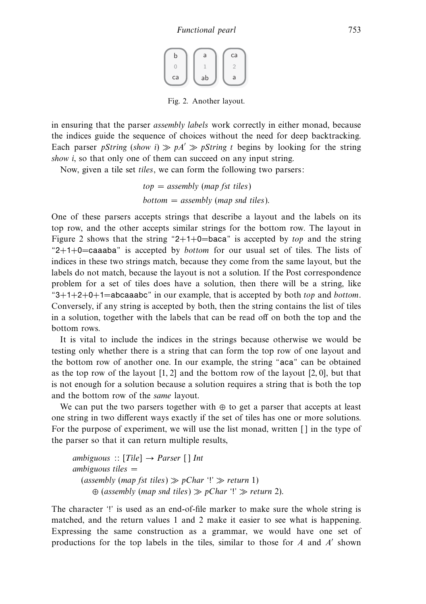| b  | a  | ca |
|----|----|----|
|    |    |    |
| ca | ab | a  |

Fig. 2. Another layout.

in ensuring that the parser assembly labels work correctly in either monad, because the indices guide the sequence of choices without the need for deep backtracking. Each parser *pString (show i)*  $\gg pA' \gg pString t$  begins by looking for the string show *i*, so that only one of them can succeed on any input string.

Now, given a tile set tiles, we can form the following two parsers:

 $top = assembly (map fat tiles)$  $bottom = assembly (map \,snd \, tiles).$ 

One of these parsers accepts strings that describe a layout and the labels on its top row, and the other accepts similar strings for the bottom row. The layout in Figure 2 shows that the string "2+1+0=baca" is accepted by top and the string " $2+1+0$ =caaaba" is accepted by *bottom* for our usual set of tiles. The lists of indices in these two strings match, because they come from the same layout, but the labels do not match, because the layout is not a solution. If the Post correspondence problem for a set of tiles does have a solution, then there will be a string, like " $3+1+2+0+1=$ abcaaabc" in our example, that is accepted by both *top* and *bottom*. Conversely, if any string is accepted by both, then the string contains the list of tiles in a solution, together with the labels that can be read off on both the top and the bottom rows.

It is vital to include the indices in the strings because otherwise we would be testing only whether there is a string that can form the top row of one layout and the bottom row of another one. In our example, the string "aca" can be obtained as the top row of the layout [1*,* 2] and the bottom row of the layout [2*,* 0], but that is not enough for a solution because a solution requires a string that is both the top and the bottom row of the same layout.

We can put the two parsers together with  $\oplus$  to get a parser that accepts at least one string in two different ways exactly if the set of tiles has one or more solutions. For the purpose of experiment, we will use the list monad, written [ ] in the type of the parser so that it can return multiple results,

ambiguous  $:: [Tile] \rightarrow \text{Parser} [ ] \text{Int}$  $ambiguous tiles =$ (assembly (map fst tiles)  $\gg pChar$  '!'  $\gg$  return 1)  $\oplus$  (assembly (map snd tiles)  $\gg$  pChar '!'  $\gg$  return 2).

The character '!' is used as an end-of-file marker to make sure the whole string is matched, and the return values 1 and 2 make it easier to see what is happening. Expressing the same construction as a grammar, we would have one set of productions for the top labels in the tiles, similar to those for *A* and *A* shown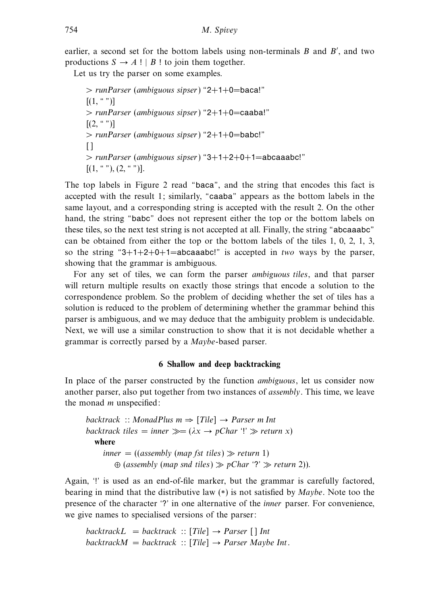earlier, a second set for the bottom labels using non-terminals *B* and *B'*, and two productions  $S \rightarrow A$ ! | *B* ! to join them together.

Let us try the parser on some examples.

*>* runParser (ambiguous sipser) "2+1+0=baca!"  $[(1, "")]$ *>* runParser (ambiguous sipser) "2+1+0=caaba!"  $[(2, "")]$ *>* runParser (ambiguous sipser) "2+1+0=babc!"  $\Box$ *>* runParser (ambiguous sipser) "3+1+2+0+1=abcaaabc!"  $[(1, \lvert\lvert ^{a} \rvert \lvert \lvert ^{a}, (2, \lvert \lvert ^{a} \rvert \lvert \lvert ^{b}]).$ 

The top labels in Figure 2 read "baca", and the string that encodes this fact is accepted with the result 1; similarly, "caaba" appears as the bottom labels in the same layout, and a corresponding string is accepted with the result 2. On the other hand, the string "babc" does not represent either the top or the bottom labels on these tiles, so the next test string is not accepted at all. Finally, the string "abcaaabc" can be obtained from either the top or the bottom labels of the tiles 1, 0, 2, 1, 3, so the string "3+1+2+0+1=abcaaabc!" is accepted in two ways by the parser, showing that the grammar is ambiguous.

For any set of tiles, we can form the parser ambiguous tiles, and that parser will return multiple results on exactly those strings that encode a solution to the correspondence problem. So the problem of deciding whether the set of tiles has a solution is reduced to the problem of determining whether the grammar behind this parser is ambiguous, and we may deduce that the ambiguity problem is undecidable. Next, we will use a similar construction to show that it is not decidable whether a grammar is correctly parsed by a Maybe-based parser.

#### **6 Shallow and deep backtracking**

In place of the parser constructed by the function ambiguous, let us consider now another parser, also put together from two instances of assembly. This time, we leave the monad *m* unspecified:

backtrack :: MonadPlus *m* ⇒ [Tile] → Parser *m* Int backtrack tiles = inner  $\gg = (\lambda x \rightarrow pChar$  '!'  $\gg$  return x) **where**  $inner = ((assembly (map fst tiles) \gg return 1)$  $\oplus$  (assembly (map snd tiles)  $\gg$  pChar '?'  $\gg$  return 2)).

Again, '!' is used as an end-of-file marker, but the grammar is carefully factored, bearing in mind that the distributive law  $(*)$  is not satisfied by *Maybe*. Note too the presence of the character '?' in one alternative of the inner parser. For convenience, we give names to specialised versions of the parser:

backtrack $L =$  backtrack :: [Tile]  $\rightarrow$  Parser [] Int  $backward = backtrack :: [Tile] \rightarrow Parser \; Maybe \; Int.$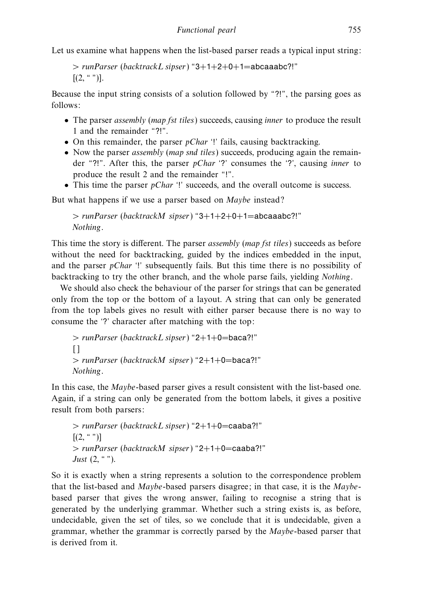Let us examine what happens when the list-based parser reads a typical input string:

```
> runParser (backtrackL sipser) "3+1+2+0+1=abcaaabc?!"
[(2, "")].
```
Because the input string consists of a solution followed by "?!", the parsing goes as follows:

- The parser *assembly (map fst tiles)* succeeds, causing *inner* to produce the result 1 and the remainder "?!".
- On this remainder, the parser  $pChar$  '!' fails, causing backtracking.
- Now the parser *assembly (map snd tiles)* succeeds, producing again the remainder "?!". After this, the parser *pChar* '?' consumes the '?', causing *inner* to produce the result 2 and the remainder "!".
- This time the parser  $pChar$  '!' succeeds, and the overall outcome is success.

But what happens if we use a parser based on Maybe instead?

```
> runParser (backtrackM sipser) "3+1+2+0+1=abcaaabc?!"
Nothing.
```
This time the story is different. The parser *assembly (map fst tiles)* succeeds as before without the need for backtracking, guided by the indices embedded in the input, and the parser  $pChar$  '!' subsequently fails. But this time there is no possibility of backtracking to try the other branch, and the whole parse fails, yielding Nothing.

We should also check the behaviour of the parser for strings that can be generated only from the top or the bottom of a layout. A string that can only be generated from the top labels gives no result with either parser because there is no way to consume the '?' character after matching with the top:

```
> runParser (backtrackL sipser) "2+1+0=baca?!"
\lceil> runParser (backtrackM sipser) "2+1+0=baca?!"
Nothing.
```
In this case, the Maybe-based parser gives a result consistent with the list-based one. Again, if a string can only be generated from the bottom labels, it gives a positive result from both parsers:

```
> runParser (backtrackL sipser) "2+1+0=caaba?!"
[(2, "")]> runParser (backtrackM sipser) "2+1+0=caaba?!"
Just (2, " ").
```
So it is exactly when a string represents a solution to the correspondence problem that the list-based and Maybe-based parsers disagree; in that case, it is the Maybebased parser that gives the wrong answer, failing to recognise a string that is generated by the underlying grammar. Whether such a string exists is, as before, undecidable, given the set of tiles, so we conclude that it is undecidable, given a grammar, whether the grammar is correctly parsed by the Maybe-based parser that is derived from it.